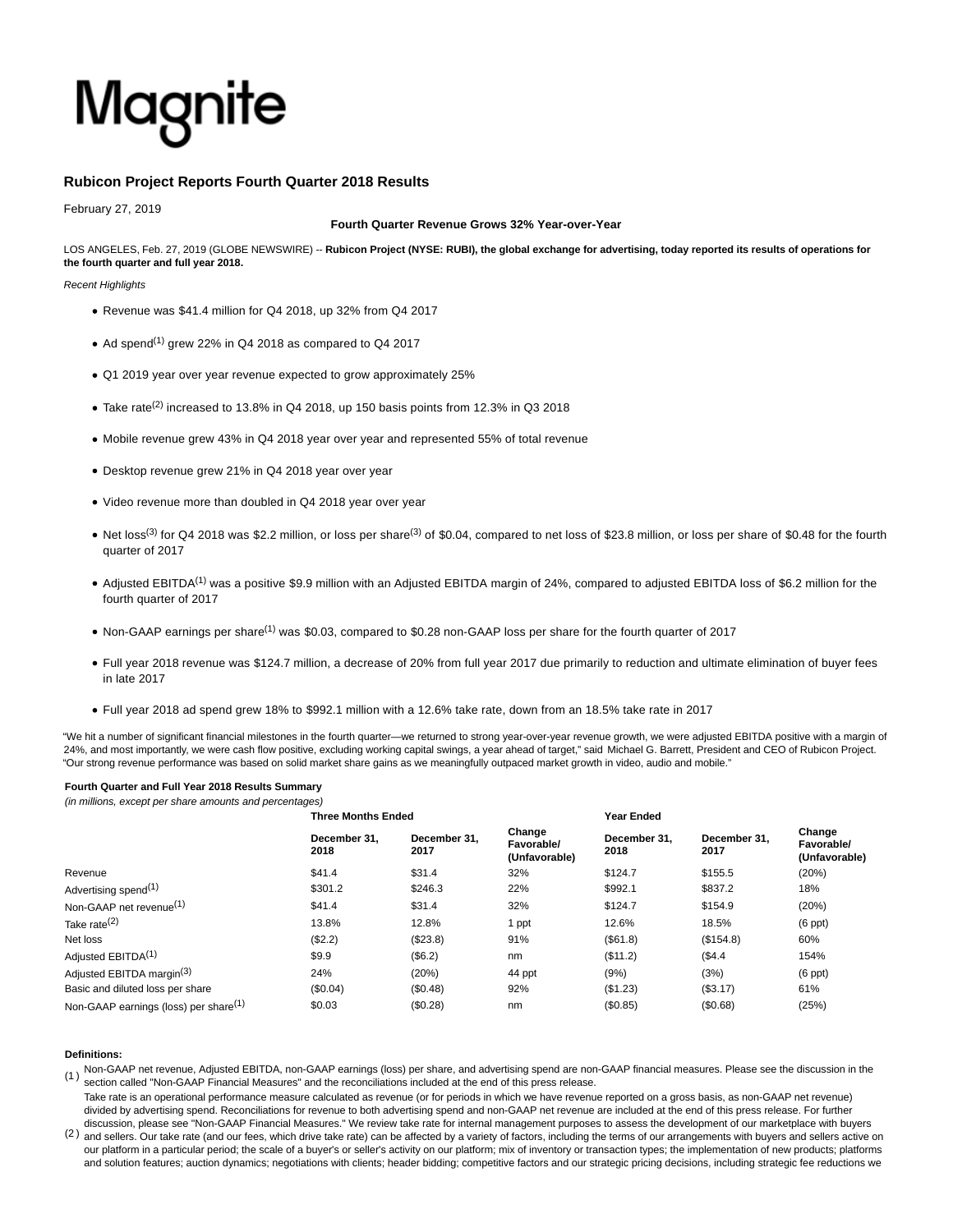# Magnite

## **Rubicon Project Reports Fourth Quarter 2018 Results**

February 27, 2019

### **Fourth Quarter Revenue Grows 32% Year-over-Year**

LOS ANGELES, Feb. 27, 2019 (GLOBE NEWSWIRE) -- **Rubicon Project (NYSE: RUBI), the global exchange for advertising, today reported its results of operations for the fourth quarter and full year 2018.**

Recent Highlights

- Revenue was \$41.4 million for Q4 2018, up 32% from Q4 2017
- Ad spend<sup>(1)</sup> grew 22% in Q4 2018 as compared to Q4 2017
- Q1 2019 year over year revenue expected to grow approximately 25%
- Take rate<sup>(2)</sup> increased to 13.8% in Q4 2018, up 150 basis points from 12.3% in Q3 2018
- Mobile revenue grew 43% in Q4 2018 year over year and represented 55% of total revenue
- Desktop revenue grew 21% in Q4 2018 year over year
- Video revenue more than doubled in Q4 2018 year over year
- Net loss<sup>(3)</sup> for Q4 2018 was \$2.2 million, or loss per share<sup>(3)</sup> of \$0.04, compared to net loss of \$23.8 million, or loss per share of \$0.48 for the fourth quarter of 2017
- Adjusted EBITDA<sup>(1)</sup> was a positive \$9.9 million with an Adjusted EBITDA margin of 24%, compared to adjusted EBITDA loss of \$6.2 million for the fourth quarter of 2017
- Non-GAAP earnings per share<sup>(1)</sup> was \$0.03, compared to \$0.28 non-GAAP loss per share for the fourth quarter of 2017
- Full year 2018 revenue was \$124.7 million, a decrease of 20% from full year 2017 due primarily to reduction and ultimate elimination of buyer fees in late 2017
- Full year 2018 ad spend grew 18% to \$992.1 million with a 12.6% take rate, down from an 18.5% take rate in 2017

"We hit a number of significant financial milestones in the fourth quarter—we returned to strong year-over-year revenue growth, we were adjusted EBITDA positive with a margin of 24%, and most importantly, we were cash flow positive, excluding working capital swings, a year ahead of target," said Michael G. Barrett, President and CEO of Rubicon Project. "Our strong revenue performance was based on solid market share gains as we meaningfully outpaced market growth in video, audio and mobile."

## **Fourth Quarter and Full Year 2018 Results Summary**

(in millions, except per share amounts and percentages)

|                                                   | <b>Three Months Ended</b>                    |          |                                       | <b>Year Ended</b>    |                      |                                       |
|---------------------------------------------------|----------------------------------------------|----------|---------------------------------------|----------------------|----------------------|---------------------------------------|
|                                                   | December 31.<br>December 31.<br>2018<br>2017 |          | Change<br>Favorable/<br>(Unfavorable) | December 31.<br>2018 | December 31.<br>2017 | Change<br>Favorable/<br>(Unfavorable) |
| Revenue                                           | \$41.4                                       | \$31.4   | 32%                                   | \$124.7              | \$155.5              | (20%)                                 |
| Advertising spend <sup>(1)</sup>                  | \$301.2                                      | \$246.3  | 22%                                   | \$992.1              | \$837.2              | 18%                                   |
| Non-GAAP net revenue <sup>(1)</sup>               | \$41.4                                       | \$31.4   | 32%                                   | \$124.7              | \$154.9              | (20%)                                 |
| Take rate $(2)$                                   | 13.8%                                        | 12.8%    | 1 ppt                                 | 12.6%                | 18.5%                | $(6$ ppt $)$                          |
| Net loss                                          | (\$2.2)                                      | (\$23.8) | 91%                                   | (S61.8)              | (\$154.8)            | 60%                                   |
| Adjusted EBITDA <sup>(1)</sup>                    | \$9.9                                        | (\$6.2)  | nm                                    | (\$11.2)             | (\$4.4"              | 154%                                  |
| Adjusted EBITDA margin <sup>(3)</sup>             | 24%                                          | (20%)    | 44 ppt                                | (9%)                 | (3%)                 | $(6$ ppt $)$                          |
| Basic and diluted loss per share                  | (\$0.04)                                     | (S0.48)  | 92%                                   | (\$1.23)             | (\$3.17)             | 61%                                   |
| Non-GAAP earnings (loss) per share <sup>(1)</sup> | \$0.03                                       | (S0.28)  | nm                                    | (S0.85)              | (\$0.68)             | (25%)                                 |

#### **Definitions:**

- (1) Non-GAAP net revenue, Adjusted EBITDA, non-GAAP earnings (loss) per share, and advertising spend are non-GAAP financial measures. Please see the discussion in the section called "Non-GAAP Financial Measures" and the reconciliations included at the end of this press release.
- $^{(2)}$  and sellers. Our take rate (and our fees, which drive take rate) can be affected by a variety of factors, including the terms of our arrangements with buyers and sellers active on Take rate is an operational performance measure calculated as revenue (or for periods in which we have revenue reported on a gross basis, as non-GAAP net revenue) divided by advertising spend. Reconciliations for revenue to both advertising spend and non-GAAP net revenue are included at the end of this press release. For further discussion, please see "Non-GAAP Financial Measures." We review take rate for internal management purposes to assess the development of our marketplace with buyers our platform in a particular period; the scale of a buyer's or seller's activity on our platform; mix of inventory or transaction types; the implementation of new products; platforms and solution features; auction dynamics; negotiations with clients; header bidding; competitive factors and our strategic pricing decisions, including strategic fee reductions we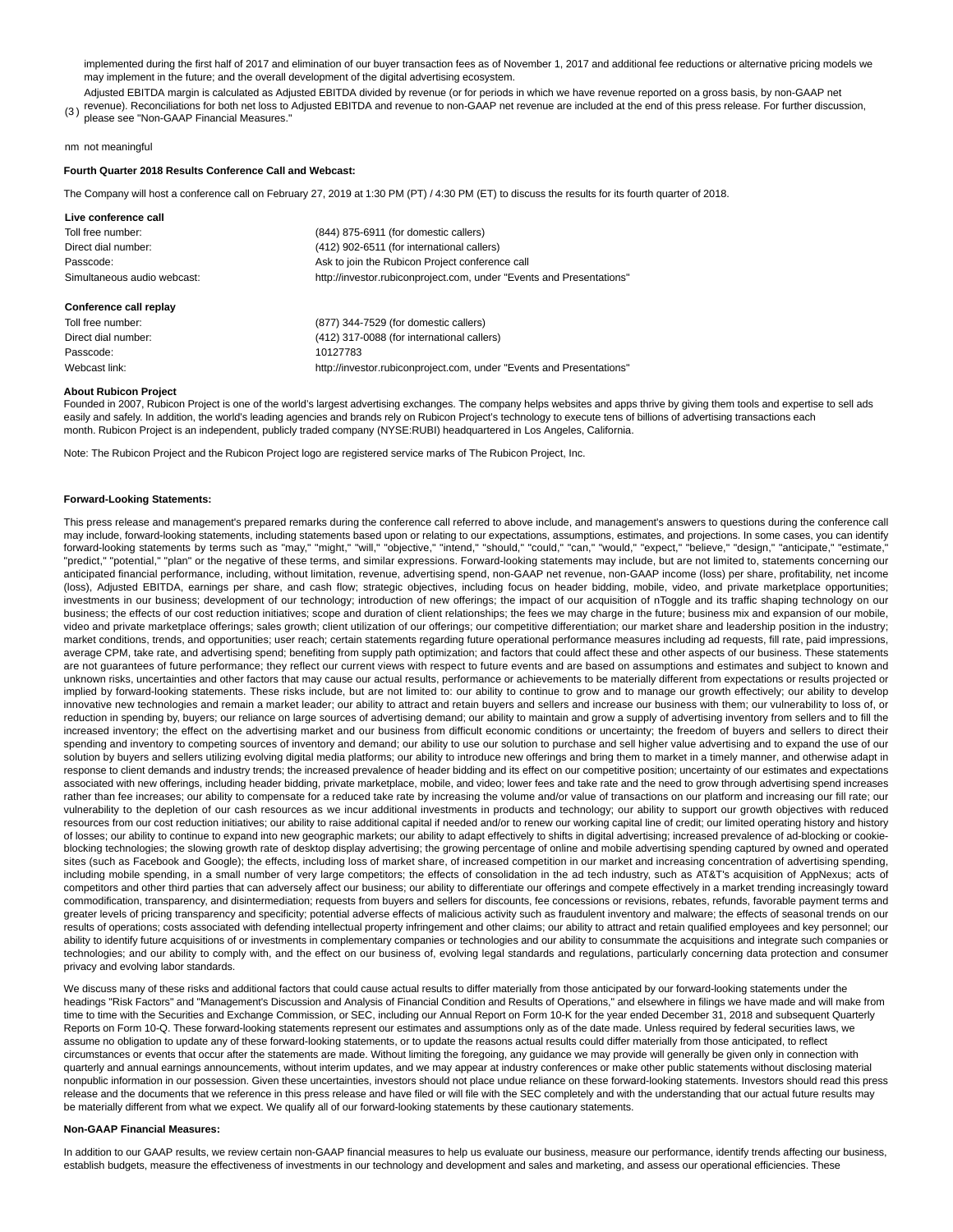implemented during the first half of 2017 and elimination of our buyer transaction fees as of November 1, 2017 and additional fee reductions or alternative pricing models we may implement in the future; and the overall development of the digital advertising ecosystem.

- Adjusted EBITDA margin is calculated as Adjusted EBITDA divided by revenue (or for periods in which we have revenue reported on a gross basis, by non-GAAP net
- (3 ) revenue). Reconciliations for both net loss to Adjusted EBITDA and revenue to non-GAAP net revenue are included at the end of this press release. For further discussion, please see "Non-GAAP Financial Measures."

#### nm not meaningful

## **Fourth Quarter 2018 Results Conference Call and Webcast:**

The Company will host a conference call on February 27, 2019 at 1:30 PM (PT) / 4:30 PM (ET) to discuss the results for its fourth quarter of 2018.

| Live conference call                                                                                |                                                                      |  |  |  |
|-----------------------------------------------------------------------------------------------------|----------------------------------------------------------------------|--|--|--|
| Toll free number:                                                                                   | (844) 875-6911 (for domestic callers)                                |  |  |  |
| Direct dial number:                                                                                 | (412) 902-6511 (for international callers)                           |  |  |  |
| Passcode:                                                                                           | Ask to join the Rubicon Project conference call                      |  |  |  |
| http://investor.rubiconproject.com, under "Events and Presentations"<br>Simultaneous audio webcast: |                                                                      |  |  |  |
| Conference call replay                                                                              |                                                                      |  |  |  |
| Toll free number:                                                                                   | (877) 344-7529 (for domestic callers)                                |  |  |  |
| Direct dial number:                                                                                 | (412) 317-0088 (for international callers)                           |  |  |  |
| Passcode:                                                                                           | 10127783                                                             |  |  |  |
| Webcast link:                                                                                       | http://investor.rubiconproject.com, under "Events and Presentations" |  |  |  |

#### **About Rubicon Project**

Founded in 2007, Rubicon Project is one of the world's largest advertising exchanges. The company helps websites and apps thrive by giving them tools and expertise to sell ads easily and safely. In addition, the world's leading agencies and brands rely on Rubicon Project's technology to execute tens of billions of advertising transactions each month. Rubicon Project is an independent, publicly traded company (NYSE:RUBI) headquartered in Los Angeles, California.

Note: The Rubicon Project and the Rubicon Project logo are registered service marks of The Rubicon Project, Inc.

#### **Forward-Looking Statements:**

This press release and management's prepared remarks during the conference call referred to above include, and management's answers to questions during the conference call may include, forward-looking statements, including statements based upon or relating to our expectations, assumptions, estimates, and projections. In some cases, you can identify forward-looking statements by terms such as "may," "might," "will," "objective," "intend," "should," "could," "can," "would," "expect," "believe," "design," "anticipate," "estimate," "predict," "potential," "plan" or the negative of these terms, and similar expressions. Forward-looking statements may include, but are not limited to, statements concerning our anticipated financial performance, including, without limitation, revenue, advertising spend, non-GAAP net revenue, non-GAAP income (loss) per share, profitability, net income (loss), Adjusted EBITDA, earnings per share, and cash flow; strategic objectives, including focus on header bidding, mobile, video, and private marketplace opportunities; investments in our business; development of our technology; introduction of new offerings; the impact of our acquisition of nToggle and its traffic shaping technology on our business; the effects of our cost reduction initiatives; scope and duration of client relationships; the fees we may charge in the future; business mix and expansion of our mobile, video and private marketplace offerings; sales growth; client utilization of our offerings; our competitive differentiation; our market share and leadership position in the industry; market conditions, trends, and opportunities; user reach; certain statements regarding future operational performance measures including ad requests, fill rate, paid impressions, average CPM, take rate, and advertising spend; benefiting from supply path optimization; and factors that could affect these and other aspects of our business. These statements are not guarantees of future performance; they reflect our current views with respect to future events and are based on assumptions and estimates and subject to known and unknown risks, uncertainties and other factors that may cause our actual results, performance or achievements to be materially different from expectations or results projected or implied by forward-looking statements. These risks include, but are not limited to: our ability to continue to grow and to manage our growth effectively; our ability to develop innovative new technologies and remain a market leader; our ability to attract and retain buyers and sellers and increase our business with them; our vulnerability to loss of, or reduction in spending by, buyers; our reliance on large sources of advertising demand; our ability to maintain and grow a supply of advertising inventory from sellers and to fill the increased inventory; the effect on the advertising market and our business from difficult economic conditions or uncertainty; the freedom of buyers and sellers to direct their spending and inventory to competing sources of inventory and demand; our ability to use our solution to purchase and sell higher value advertising and to expand the use of our solution by buyers and sellers utilizing evolving digital media platforms; our ability to introduce new offerings and bring them to market in a timely manner, and otherwise adapt in response to client demands and industry trends; the increased prevalence of header bidding and its effect on our competitive position; uncertainty of our estimates and expectations associated with new offerings, including header bidding, private marketplace, mobile, and video; lower fees and take rate and the need to grow through advertising spend increases rather than fee increases; our ability to compensate for a reduced take rate by increasing the volume and/or value of transactions on our platform and increasing our fill rate; our vulnerability to the depletion of our cash resources as we incur additional investments in products and technology; our ability to support our growth objectives with reduced resources from our cost reduction initiatives; our ability to raise additional capital if needed and/or to renew our working capital line of credit; our limited operating history and history of losses; our ability to continue to expand into new geographic markets; our ability to adapt effectively to shifts in digital advertising; increased prevalence of ad-blocking or cookieblocking technologies; the slowing growth rate of desktop display advertising; the growing percentage of online and mobile advertising spending captured by owned and operated sites (such as Facebook and Google); the effects, including loss of market share, of increased competition in our market and increasing concentration of advertising spending, including mobile spending, in a small number of very large competitors; the effects of consolidation in the ad tech industry, such as AT&T's acquisition of AppNexus; acts of competitors and other third parties that can adversely affect our business; our ability to differentiate our offerings and compete effectively in a market trending increasingly toward commodification, transparency, and disintermediation; requests from buyers and sellers for discounts, fee concessions or revisions, rebates, refunds, favorable payment terms and greater levels of pricing transparency and specificity; potential adverse effects of malicious activity such as fraudulent inventory and malware; the effects of seasonal trends on our results of operations; costs associated with defending intellectual property infringement and other claims; our ability to attract and retain qualified employees and key personnel; our ability to identify future acquisitions of or investments in complementary companies or technologies and our ability to consummate the acquisitions and integrate such companies or technologies; and our ability to comply with, and the effect on our business of, evolving legal standards and regulations, particularly concerning data protection and consumer privacy and evolving labor standards.

We discuss many of these risks and additional factors that could cause actual results to differ materially from those anticipated by our forward-looking statements under the headings "Risk Factors" and "Management's Discussion and Analysis of Financial Condition and Results of Operations," and elsewhere in filings we have made and will make from time to time with the Securities and Exchange Commission, or SEC, including our Annual Report on Form 10-K for the year ended December 31, 2018 and subsequent Quarterly Reports on Form 10-Q. These forward-looking statements represent our estimates and assumptions only as of the date made. Unless required by federal securities laws, we assume no obligation to update any of these forward-looking statements, or to update the reasons actual results could differ materially from those anticipated, to reflect circumstances or events that occur after the statements are made. Without limiting the foregoing, any guidance we may provide will generally be given only in connection with quarterly and annual earnings announcements, without interim updates, and we may appear at industry conferences or make other public statements without disclosing material nonpublic information in our possession. Given these uncertainties, investors should not place undue reliance on these forward-looking statements. Investors should read this press release and the documents that we reference in this press release and have filed or will file with the SEC completely and with the understanding that our actual future results may be materially different from what we expect. We qualify all of our forward-looking statements by these cautionary statements.

### **Non-GAAP Financial Measures:**

In addition to our GAAP results, we review certain non-GAAP financial measures to help us evaluate our business, measure our performance, identify trends affecting our business, establish budgets, measure the effectiveness of investments in our technology and development and sales and marketing, and assess our operational efficiencies. These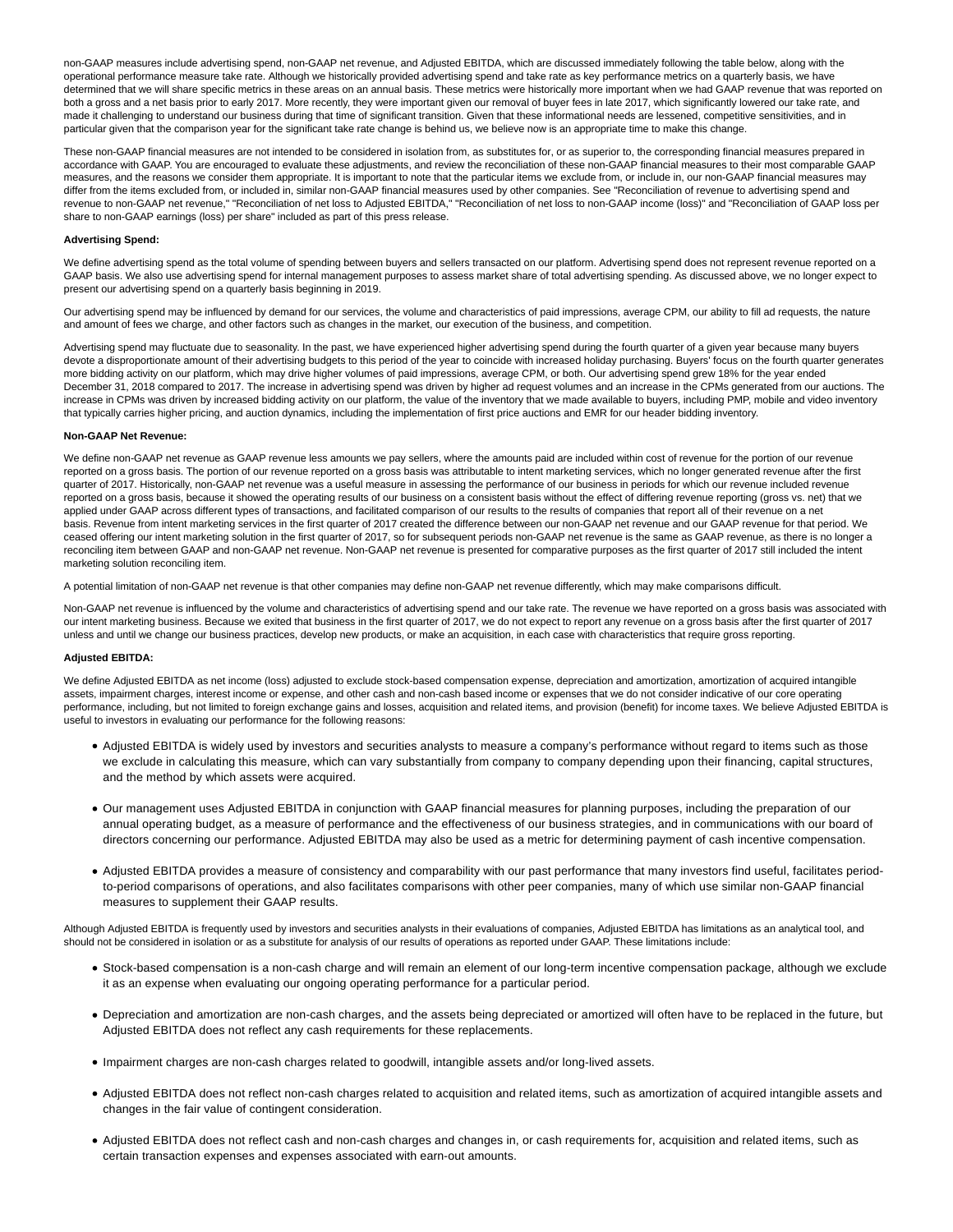non-GAAP measures include advertising spend, non-GAAP net revenue, and Adjusted EBITDA, which are discussed immediately following the table below, along with the operational performance measure take rate. Although we historically provided advertising spend and take rate as key performance metrics on a quarterly basis, we have determined that we will share specific metrics in these areas on an annual basis. These metrics were historically more important when we had GAAP revenue that was reported on both a gross and a net basis prior to early 2017. More recently, they were important given our removal of buyer fees in late 2017, which significantly lowered our take rate, and made it challenging to understand our business during that time of significant transition. Given that these informational needs are lessened, competitive sensitivities, and in particular given that the comparison year for the significant take rate change is behind us, we believe now is an appropriate time to make this change.

These non-GAAP financial measures are not intended to be considered in isolation from, as substitutes for, or as superior to, the corresponding financial measures prepared in accordance with GAAP. You are encouraged to evaluate these adjustments, and review the reconciliation of these non-GAAP financial measures to their most comparable GAAP measures, and the reasons we consider them appropriate. It is important to note that the particular items we exclude from, or include in, our non-GAAP financial measures may differ from the items excluded from, or included in, similar non-GAAP financial measures used by other companies. See "Reconciliation of revenue to advertising spend and revenue to non-GAAP net revenue," "Reconciliation of net loss to Adjusted EBITDA," "Reconciliation of net loss to non-GAAP income (loss)" and "Reconciliation of GAAP loss per share to non-GAAP earnings (loss) per share" included as part of this press release.

#### **Advertising Spend:**

We define advertising spend as the total volume of spending between buyers and sellers transacted on our platform. Advertising spend does not represent revenue reported on a GAAP basis. We also use advertising spend for internal management purposes to assess market share of total advertising spending. As discussed above, we no longer expect to present our advertising spend on a quarterly basis beginning in 2019.

Our advertising spend may be influenced by demand for our services, the volume and characteristics of paid impressions, average CPM, our ability to fill ad requests, the nature and amount of fees we charge, and other factors such as changes in the market, our execution of the business, and competition.

Advertising spend may fluctuate due to seasonality. In the past, we have experienced higher advertising spend during the fourth quarter of a given year because many buyers devote a disproportionate amount of their advertising budgets to this period of the year to coincide with increased holiday purchasing. Buyers' focus on the fourth quarter generates more bidding activity on our platform, which may drive higher volumes of paid impressions, average CPM, or both. Our advertising spend grew 18% for the year ended December 31, 2018 compared to 2017. The increase in advertising spend was driven by higher ad request volumes and an increase in the CPMs generated from our auctions. The increase in CPMs was driven by increased bidding activity on our platform, the value of the inventory that we made available to buyers, including PMP, mobile and video inventory that typically carries higher pricing, and auction dynamics, including the implementation of first price auctions and EMR for our header bidding inventory.

## **Non-GAAP Net Revenue:**

We define non-GAAP net revenue as GAAP revenue less amounts we pay sellers, where the amounts paid are included within cost of revenue for the portion of our revenue reported on a gross basis. The portion of our revenue reported on a gross basis was attributable to intent marketing services, which no longer generated revenue after the first quarter of 2017. Historically, non-GAAP net revenue was a useful measure in assessing the performance of our business in periods for which our revenue included revenue reported on a gross basis, because it showed the operating results of our business on a consistent basis without the effect of differing revenue reporting (gross vs. net) that we applied under GAAP across different types of transactions, and facilitated comparison of our results to the results of companies that report all of their revenue on a net basis. Revenue from intent marketing services in the first quarter of 2017 created the difference between our non-GAAP net revenue and our GAAP revenue for that period. We ceased offering our intent marketing solution in the first quarter of 2017, so for subsequent periods non-GAAP net revenue is the same as GAAP revenue, as there is no longer a reconciling item between GAAP and non-GAAP net revenue. Non-GAAP net revenue is presented for comparative purposes as the first quarter of 2017 still included the intent marketing solution reconciling item.

A potential limitation of non-GAAP net revenue is that other companies may define non-GAAP net revenue differently, which may make comparisons difficult.

Non-GAAP net revenue is influenced by the volume and characteristics of advertising spend and our take rate. The revenue we have reported on a gross basis was associated with our intent marketing business. Because we exited that business in the first quarter of 2017, we do not expect to report any revenue on a gross basis after the first quarter of 2017 unless and until we change our business practices, develop new products, or make an acquisition, in each case with characteristics that require gross reporting.

## **Adjusted EBITDA:**

We define Adjusted EBITDA as net income (loss) adjusted to exclude stock-based compensation expense, depreciation and amortization, amortization of acquired intangible assets, impairment charges, interest income or expense, and other cash and non-cash based income or expenses that we do not consider indicative of our core operating performance, including, but not limited to foreign exchange gains and losses, acquisition and related items, and provision (benefit) for income taxes. We believe Adjusted EBITDA is useful to investors in evaluating our performance for the following reasons:

- Adjusted EBITDA is widely used by investors and securities analysts to measure a company's performance without regard to items such as those we exclude in calculating this measure, which can vary substantially from company to company depending upon their financing, capital structures, and the method by which assets were acquired.
- Our management uses Adjusted EBITDA in conjunction with GAAP financial measures for planning purposes, including the preparation of our annual operating budget, as a measure of performance and the effectiveness of our business strategies, and in communications with our board of directors concerning our performance. Adjusted EBITDA may also be used as a metric for determining payment of cash incentive compensation.
- Adjusted EBITDA provides a measure of consistency and comparability with our past performance that many investors find useful, facilitates periodto-period comparisons of operations, and also facilitates comparisons with other peer companies, many of which use similar non-GAAP financial measures to supplement their GAAP results.

Although Adjusted EBITDA is frequently used by investors and securities analysts in their evaluations of companies, Adjusted EBITDA has limitations as an analytical tool, and should not be considered in isolation or as a substitute for analysis of our results of operations as reported under GAAP. These limitations include:

- Stock-based compensation is a non-cash charge and will remain an element of our long-term incentive compensation package, although we exclude it as an expense when evaluating our ongoing operating performance for a particular period.
- Depreciation and amortization are non-cash charges, and the assets being depreciated or amortized will often have to be replaced in the future, but Adjusted EBITDA does not reflect any cash requirements for these replacements.
- Impairment charges are non-cash charges related to goodwill, intangible assets and/or long-lived assets.
- Adjusted EBITDA does not reflect non-cash charges related to acquisition and related items, such as amortization of acquired intangible assets and changes in the fair value of contingent consideration.
- Adjusted EBITDA does not reflect cash and non-cash charges and changes in, or cash requirements for, acquisition and related items, such as certain transaction expenses and expenses associated with earn-out amounts.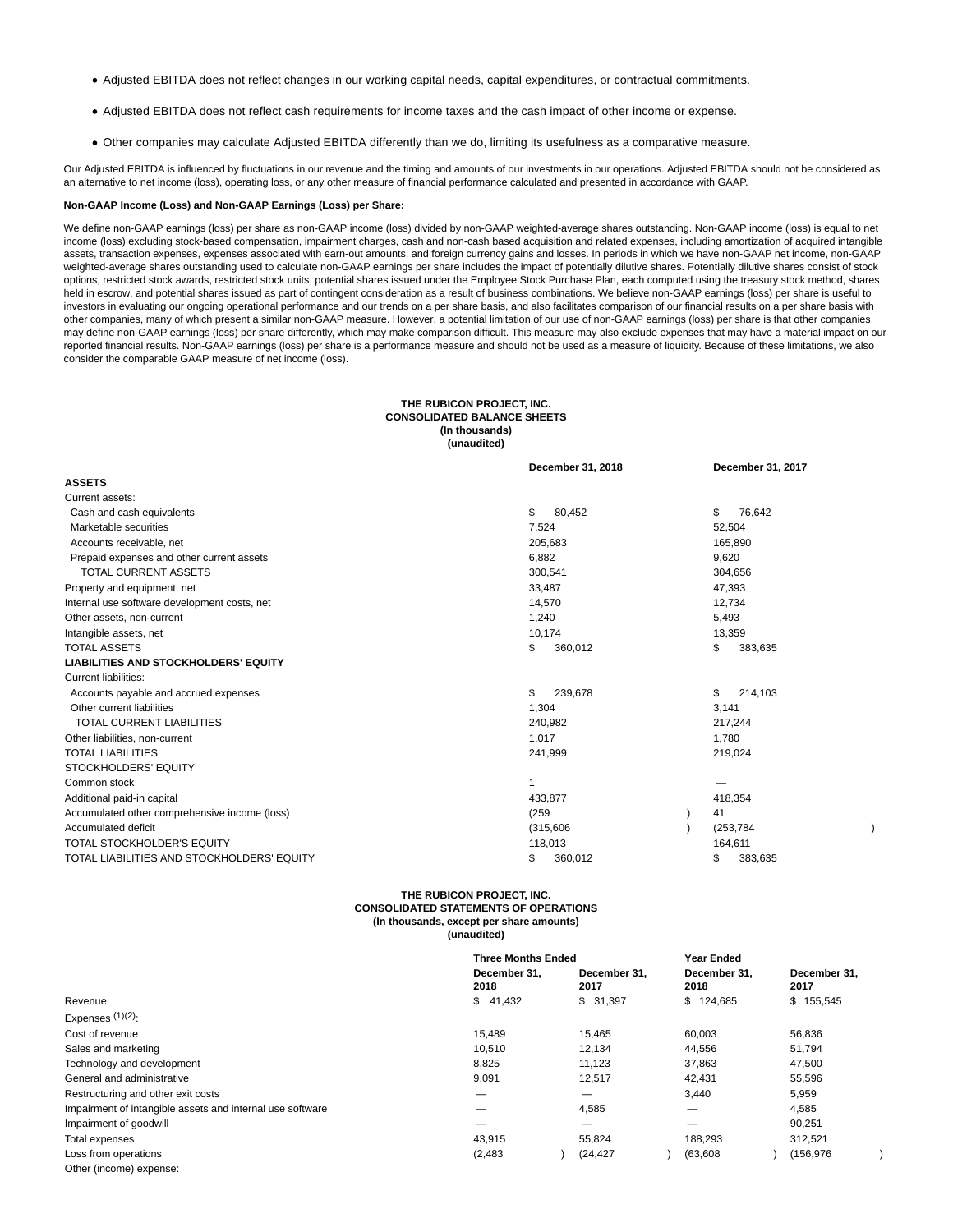- Adjusted EBITDA does not reflect changes in our working capital needs, capital expenditures, or contractual commitments.
- Adjusted EBITDA does not reflect cash requirements for income taxes and the cash impact of other income or expense.
- Other companies may calculate Adjusted EBITDA differently than we do, limiting its usefulness as a comparative measure.

Our Adjusted EBITDA is influenced by fluctuations in our revenue and the timing and amounts of our investments in our operations. Adjusted EBITDA should not be considered as an alternative to net income (loss), operating loss, or any other measure of financial performance calculated and presented in accordance with GAAP.

## **Non-GAAP Income (Loss) and Non-GAAP Earnings (Loss) per Share:**

We define non-GAAP earnings (loss) per share as non-GAAP income (loss) divided by non-GAAP weighted-average shares outstanding. Non-GAAP income (loss) is equal to net income (loss) excluding stock-based compensation, impairment charges, cash and non-cash based acquisition and related expenses, including amortization of acquired intangible assets, transaction expenses, expenses associated with earn-out amounts, and foreign currency gains and losses. In periods in which we have non-GAAP net income, non-GAAP weighted-average shares outstanding used to calculate non-GAAP earnings per share includes the impact of potentially dilutive shares. Potentially dilutive shares consist of stock options, restricted stock awards, restricted stock units, potential shares issued under the Employee Stock Purchase Plan, each computed using the treasury stock method, shares held in escrow, and potential shares issued as part of contingent consideration as a result of business combinations. We believe non-GAAP earnings (loss) per share is useful to investors in evaluating our ongoing operational performance and our trends on a per share basis, and also facilitates comparison of our financial results on a per share basis with other companies, many of which present a similar non-GAAP measure. However, a potential limitation of our use of non-GAAP earnings (loss) per share is that other companies may define non-GAAP earnings (loss) per share differently, which may make comparison difficult. This measure may also exclude expenses that may have a material impact on our reported financial results. Non-GAAP earnings (loss) per share is a performance measure and should not be used as a measure of liquidity. Because of these limitations, we also consider the comparable GAAP measure of net income (loss).

## **THE RUBICON PROJECT, INC. CONSOLIDATED BALANCE SHEETS (In thousands) (unaudited)**

|                                               | December 31, 2018 | December 31, 2017 |  |
|-----------------------------------------------|-------------------|-------------------|--|
| <b>ASSETS</b>                                 |                   |                   |  |
| Current assets:                               |                   |                   |  |
| Cash and cash equivalents                     | \$<br>80,452      | \$<br>76,642      |  |
| Marketable securities                         | 7,524             | 52,504            |  |
| Accounts receivable, net                      | 205,683           | 165,890           |  |
| Prepaid expenses and other current assets     | 6,882             | 9,620             |  |
| <b>TOTAL CURRENT ASSETS</b>                   | 300,541           | 304,656           |  |
| Property and equipment, net                   | 33,487            | 47,393            |  |
| Internal use software development costs, net  | 14,570            | 12,734            |  |
| Other assets, non-current                     | 1,240             | 5,493             |  |
| Intangible assets, net                        | 10,174            | 13,359            |  |
| <b>TOTAL ASSETS</b>                           | \$<br>360,012     | \$<br>383,635     |  |
| <b>LIABILITIES AND STOCKHOLDERS' EQUITY</b>   |                   |                   |  |
| <b>Current liabilities:</b>                   |                   |                   |  |
| Accounts payable and accrued expenses         | \$<br>239,678     | \$<br>214,103     |  |
| Other current liabilities                     | 1,304             | 3,141             |  |
| <b>TOTAL CURRENT LIABILITIES</b>              | 240,982           | 217,244           |  |
| Other liabilities, non-current                | 1,017             | 1,780             |  |
| <b>TOTAL LIABILITIES</b>                      | 241,999           | 219,024           |  |
| STOCKHOLDERS' EQUITY                          |                   |                   |  |
| Common stock                                  | 1                 |                   |  |
| Additional paid-in capital                    | 433,877           | 418,354           |  |
| Accumulated other comprehensive income (loss) | (259)             | 41                |  |
| Accumulated deficit                           | (315,606)         | (253, 784)        |  |
| <b>TOTAL STOCKHOLDER'S EQUITY</b>             | 118,013           | 164,611           |  |
| TOTAL LIABILITIES AND STOCKHOLDERS' EQUITY    | \$<br>360,012     | \$<br>383,635     |  |

#### **THE RUBICON PROJECT, INC. CONSOLIDATED STATEMENTS OF OPERATIONS (In thousands, except per share amounts) (unaudited)**

|                                                           | <b>Three Months Ended</b> |                      | <b>Year Ended</b>    |                      |
|-----------------------------------------------------------|---------------------------|----------------------|----------------------|----------------------|
|                                                           | December 31,<br>2018      | December 31,<br>2017 | December 31.<br>2018 | December 31.<br>2017 |
| Revenue                                                   | \$41,432                  | \$<br>31,397         | \$124,685            | \$155,545            |
| Expenses $(1)(2)$ :                                       |                           |                      |                      |                      |
| Cost of revenue                                           | 15,489                    | 15,465               | 60,003               | 56,836               |
| Sales and marketing                                       | 10,510                    | 12,134               | 44,556               | 51,794               |
| Technology and development                                | 8,825                     | 11,123               | 37,863               | 47,500               |
| General and administrative                                | 9,091                     | 12,517               | 42,431               | 55,596               |
| Restructuring and other exit costs                        | –                         | –                    | 3,440                | 5,959                |
| Impairment of intangible assets and internal use software |                           | 4,585                | –                    | 4,585                |
| Impairment of goodwill                                    | –                         | –                    | –                    | 90,251               |
| Total expenses                                            | 43,915                    | 55,824               | 188.293              | 312,521              |
| Loss from operations                                      | (2, 483)                  | (24, 427)            | (63, 608)            | (156, 976)           |
| Other (income) expense:                                   |                           |                      |                      |                      |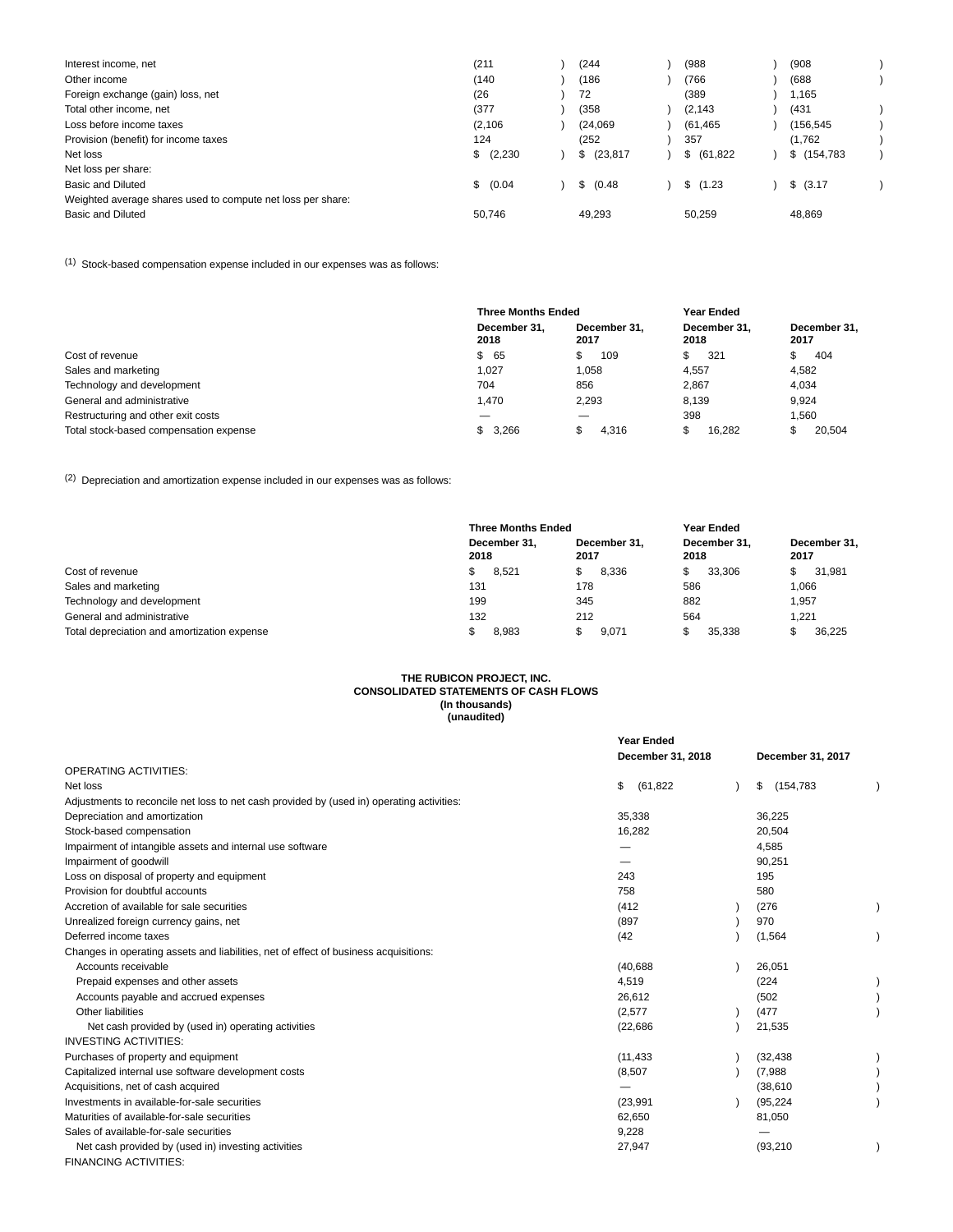| Interest income, net                                        | (211)      | (244)          | (988         | (908        |  |
|-------------------------------------------------------------|------------|----------------|--------------|-------------|--|
| Other income                                                | (140       | (186           | (766         | (688)       |  |
| Foreign exchange (gain) loss, net                           | (26)       | 72             | (389         | .165        |  |
| Total other income, net                                     | (377)      | (358           | (2, 143)     | (431        |  |
| Loss before income taxes                                    | (2, 106)   | (24,069)       | (61, 465)    | 156,545)    |  |
| Provision (benefit) for income taxes                        | 124        | (252)          | 357          | (1,762)     |  |
| Net loss                                                    | \$ (2,230) | $$^{(23,817)}$ | $$^{61,822}$ | \$(154,783) |  |
| Net loss per share:                                         |            |                |              |             |  |
| Basic and Diluted                                           | \$ (0.04)  | \$ (0.48)      | \$(1.23)     | \$ (3.17)   |  |
| Weighted average shares used to compute net loss per share: |            |                |              |             |  |
| Basic and Diluted                                           | 50,746     | 49,293         | 50,259       | 48,869      |  |
|                                                             |            |                |              |             |  |

(1) Stock-based compensation expense included in our expenses was as follows:

|                                        | <b>Three Months Ended</b> |                      |                      |                      |
|----------------------------------------|---------------------------|----------------------|----------------------|----------------------|
|                                        | December 31.<br>2018      | December 31.<br>2017 | December 31.<br>2018 | December 31.<br>2017 |
| Cost of revenue                        | \$ 65                     | 109                  | 321<br>S             | 404                  |
| Sales and marketing                    | 1.027                     | 1,058                | 4.557                | 4,582                |
| Technology and development             | 704                       | 856                  | 2.867                | 4,034                |
| General and administrative             | 1.470                     | 2.293                | 8.139                | 9,924                |
| Restructuring and other exit costs     | _                         |                      | 398                  | 1.560                |
| Total stock-based compensation expense | 3.266                     | 4.316                | 16.282<br>\$         | 20.504<br>л.         |

(2) Depreciation and amortization expense included in our expenses was as follows:

|                                             | <b>Three Months Ended</b> | Year Ended           |                      |                      |
|---------------------------------------------|---------------------------|----------------------|----------------------|----------------------|
|                                             | December 31.<br>2018      | December 31.<br>2017 | December 31.<br>2018 | December 31.<br>2017 |
| Cost of revenue                             | 8.521<br>\$.              | 8.336                | 33.306               | 31.981               |
| Sales and marketing                         | 131                       | 178                  | 586                  | 1.066                |
| Technology and development                  | 199                       | 345                  | 882                  | 1.957                |
| General and administrative                  | 132                       | 212                  | 564                  | 1.221                |
| Total depreciation and amortization expense | 8.983                     | 9.071                | 35.338               | 36.225               |

#### **THE RUBICON PROJECT, INC. CONSOLIDATED STATEMENTS OF CASH FLOWS (In thousands) (unaudited)**

|                                                                                           | <b>Year Ended</b><br>December 31, 2018 | December 31, 2017 |  |
|-------------------------------------------------------------------------------------------|----------------------------------------|-------------------|--|
| <b>OPERATING ACTIVITIES:</b>                                                              |                                        |                   |  |
| Net loss                                                                                  | \$<br>(61, 822)                        | \$<br>(154, 783)  |  |
| Adjustments to reconcile net loss to net cash provided by (used in) operating activities: |                                        |                   |  |
| Depreciation and amortization                                                             | 35,338                                 | 36,225            |  |
| Stock-based compensation                                                                  | 16,282                                 | 20,504            |  |
| Impairment of intangible assets and internal use software                                 |                                        | 4,585             |  |
| Impairment of goodwill                                                                    |                                        | 90,251            |  |
| Loss on disposal of property and equipment                                                | 243                                    | 195               |  |
| Provision for doubtful accounts                                                           | 758                                    | 580               |  |
| Accretion of available for sale securities                                                | (412)                                  | (276)             |  |
| Unrealized foreign currency gains, net                                                    | (897)                                  | 970               |  |
| Deferred income taxes                                                                     | (42)                                   | (1, 564)          |  |
| Changes in operating assets and liabilities, net of effect of business acquisitions:      |                                        |                   |  |
| Accounts receivable                                                                       | (40, 688)                              | 26,051            |  |
| Prepaid expenses and other assets                                                         | 4,519                                  | (224)             |  |
| Accounts payable and accrued expenses                                                     | 26,612                                 | (502)             |  |
| Other liabilities                                                                         | (2,577)                                | (477)             |  |
| Net cash provided by (used in) operating activities                                       | (22, 686)                              | 21,535            |  |
| <b>INVESTING ACTIVITIES:</b>                                                              |                                        |                   |  |
| Purchases of property and equipment                                                       | (11, 433)                              | (32, 438)         |  |
| Capitalized internal use software development costs                                       | (8,507)                                | (7,988)           |  |
| Acquisitions, net of cash acquired                                                        |                                        | (38,610)          |  |
| Investments in available-for-sale securities                                              | (23, 991)                              | (95, 224)         |  |
| Maturities of available-for-sale securities                                               | 62,650                                 | 81,050            |  |
| Sales of available-for-sale securities                                                    | 9,228                                  |                   |  |
| Net cash provided by (used in) investing activities                                       | 27,947                                 | (93, 210)         |  |
| <b>FINANCING ACTIVITIES:</b>                                                              |                                        |                   |  |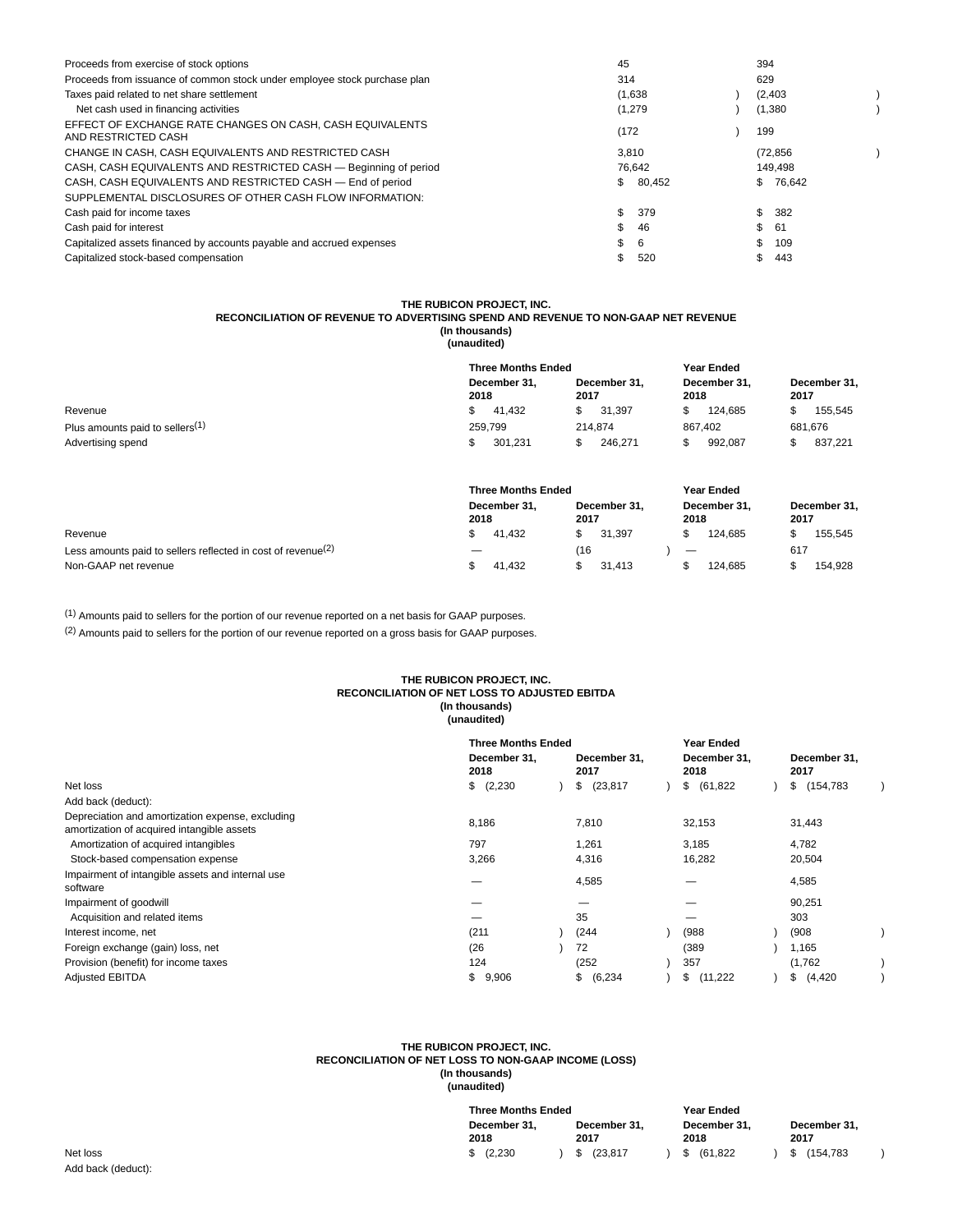| Proceeds from exercise of stock options                                          | 45           |  | 394       |  |
|----------------------------------------------------------------------------------|--------------|--|-----------|--|
| Proceeds from issuance of common stock under employee stock purchase plan        | 314          |  | 629       |  |
| Taxes paid related to net share settlement                                       | (1,638)      |  | (2, 403)  |  |
| Net cash used in financing activities                                            | (1,279)      |  | (1,380    |  |
| EFFECT OF EXCHANGE RATE CHANGES ON CASH, CASH EQUIVALENTS<br>AND RESTRICTED CASH | (172)        |  | 199       |  |
| CHANGE IN CASH, CASH EQUIVALENTS AND RESTRICTED CASH                             | 3.810        |  | (72, 856) |  |
| CASH, CASH EQUIVALENTS AND RESTRICTED CASH - Beginning of period                 | 76.642       |  | 149.498   |  |
| CASH, CASH EQUIVALENTS AND RESTRICTED CASH - End of period                       | \$<br>80,452 |  | \$76,642  |  |
| SUPPLEMENTAL DISCLOSURES OF OTHER CASH FLOW INFORMATION:                         |              |  |           |  |
| Cash paid for income taxes                                                       | \$<br>379    |  | \$382     |  |
| Cash paid for interest                                                           | \$.<br>46    |  | \$<br>-61 |  |
| Capitalized assets financed by accounts payable and accrued expenses             | \$<br>6      |  | \$<br>109 |  |
| Capitalized stock-based compensation                                             | 520          |  | \$<br>443 |  |
|                                                                                  |              |  |           |  |

## **THE RUBICON PROJECT, INC.**

# **RECONCILIATION OF REVENUE TO ADVERTISING SPEND AND REVENUE TO NON-GAAP NET REVENUE**

#### **(In thousands) (unaudited)**

|                                             |                      | <b>Three Months Ended</b> |                      |                      |  |
|---------------------------------------------|----------------------|---------------------------|----------------------|----------------------|--|
|                                             | December 31.<br>2018 | December 31.<br>2017      | December 31.<br>2018 | December 31.<br>2017 |  |
| Revenue                                     | 41.432               | 31.397                    | 124.685              | 155.545              |  |
| Plus amounts paid to sellers <sup>(1)</sup> | 259.799              | 214.874                   | 867.402              | 681.676              |  |
| Advertising spend                           | 301.231              | 246.271                   | 992.087              | 837.221              |  |

|                                                                 | <b>Three Months Ended</b> | <b>Year Ended</b>    |                          |                      |
|-----------------------------------------------------------------|---------------------------|----------------------|--------------------------|----------------------|
|                                                                 | December 31.<br>2018      | December 31.<br>2017 | December 31.<br>2018     | December 31.<br>2017 |
| Revenue                                                         | 41.432                    | 31.397               | 124.685                  | 155.545              |
| Less amounts paid to sellers reflected in cost of revenue $(2)$ |                           | (16                  | $\overline{\phantom{0}}$ | 617                  |
| Non-GAAP net revenue                                            | 41.432                    | 31.413               | 124.685                  | 154.928              |

(1) Amounts paid to sellers for the portion of our revenue reported on a net basis for GAAP purposes.

(2) Amounts paid to sellers for the portion of our revenue reported on a gross basis for GAAP purposes.

## **THE RUBICON PROJECT, INC. RECONCILIATION OF NET LOSS TO ADJUSTED EBITDA (In thousands) (unaudited)**

|                                                                                                | <b>Three Months Ended</b> |  | Year Ended           |                      |  |                      |  |
|------------------------------------------------------------------------------------------------|---------------------------|--|----------------------|----------------------|--|----------------------|--|
|                                                                                                | December 31,<br>2018      |  | December 31.<br>2017 | December 31,<br>2018 |  | December 31,<br>2017 |  |
| Net loss                                                                                       | \$<br>(2, 230)            |  | $$^{(23,817)}$       | \$<br>(61,822        |  | \$<br>(154, 783)     |  |
| Add back (deduct):                                                                             |                           |  |                      |                      |  |                      |  |
| Depreciation and amortization expense, excluding<br>amortization of acquired intangible assets | 8,186                     |  | 7,810                | 32,153               |  | 31,443               |  |
| Amortization of acquired intangibles                                                           | 797                       |  | 1,261                | 3,185                |  | 4,782                |  |
| Stock-based compensation expense                                                               | 3,266                     |  | 4,316                | 16,282               |  | 20,504               |  |
| Impairment of intangible assets and internal use<br>software                                   |                           |  | 4,585                |                      |  | 4,585                |  |
| Impairment of goodwill                                                                         |                           |  |                      |                      |  | 90,251               |  |
| Acquisition and related items                                                                  |                           |  | 35                   |                      |  | 303                  |  |
| Interest income, net                                                                           | (211)                     |  | (244)                | (988)                |  | (908)                |  |
| Foreign exchange (gain) loss, net                                                              | (26)                      |  | 72                   | (389)                |  | 1,165                |  |
| Provision (benefit) for income taxes                                                           | 124                       |  | (252)                | 357                  |  | (1,762)              |  |
| <b>Adjusted EBITDA</b>                                                                         | \$<br>9,906               |  | \$<br>(6, 234)       | \$<br>(11, 222)      |  | \$<br>(4, 420)       |  |

#### **THE RUBICON PROJECT, INC. RECONCILIATION OF NET LOSS TO NON-GAAP INCOME (LOSS) (In thousands) (unaudited)**

|          | <b>Three Months Ended</b> |                      | <b>Year Ended</b>    |                      |  |  |  |
|----------|---------------------------|----------------------|----------------------|----------------------|--|--|--|
|          | December 31.<br>2018      | December 31.<br>2017 | December 31.<br>2018 | December 31.<br>2017 |  |  |  |
| Net loss | (2, 230)                  | (23.81)              | (61, 822)            | (154, 783)           |  |  |  |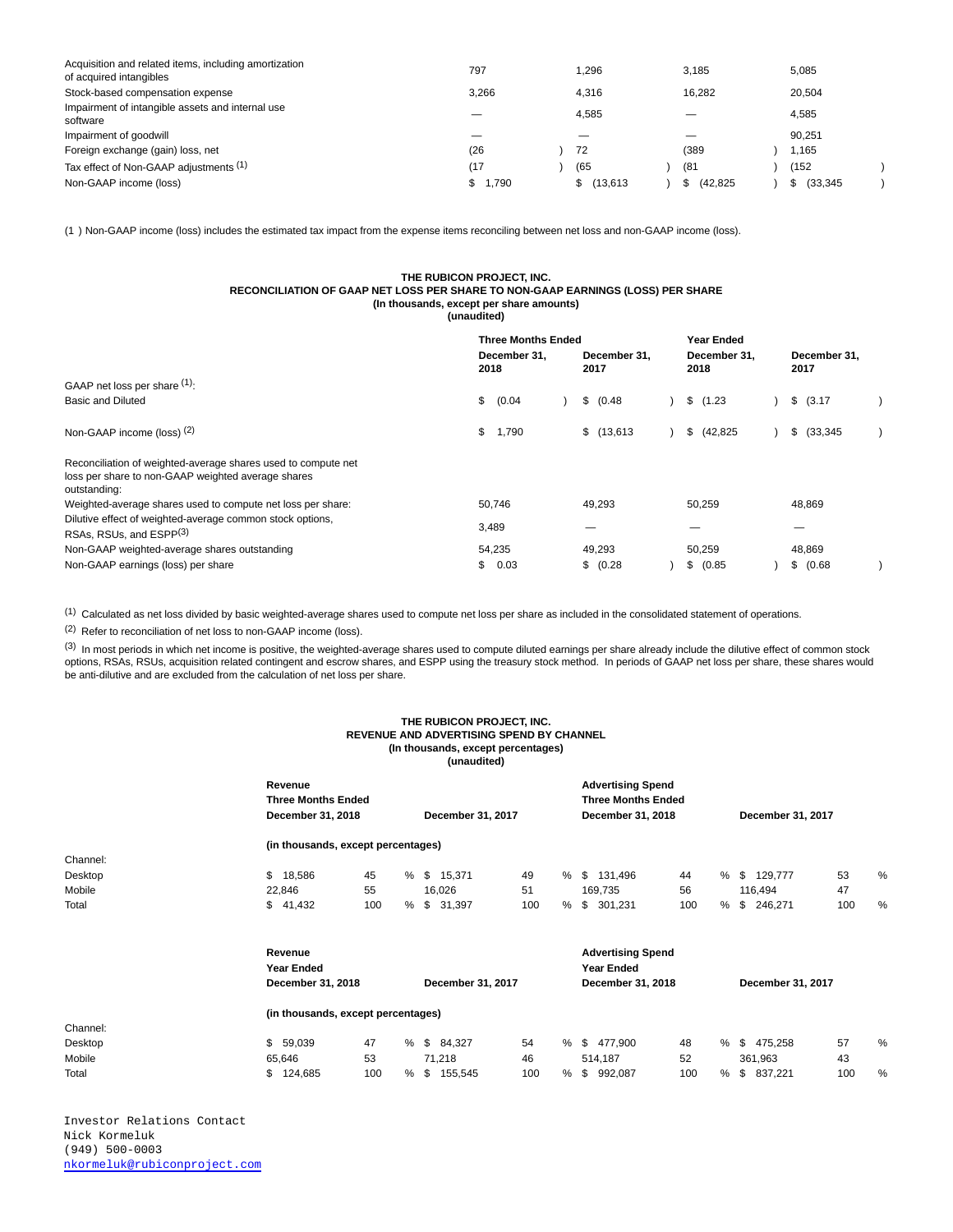| Acquisition and related items, including amortization<br>of acquired intangibles | 797   | 1.296      | 3.185    | 5,085    |
|----------------------------------------------------------------------------------|-------|------------|----------|----------|
| Stock-based compensation expense                                                 | 3.266 | 4.316      | 16.282   | 20,504   |
| Impairment of intangible assets and internal use<br>software                     |       | 4.585      |          | 4,585    |
| Impairment of goodwill                                                           |       |            |          | 90.251   |
| Foreign exchange (gain) loss, net                                                | (26)  | 72         | (389     | 1.165    |
| Tax effect of Non-GAAP adjustments (1)                                           | (17)  | (65)       | (81)     | 152      |
| Non-GAAP income (loss)                                                           | . 790 | \$(13.613) | (42.825) | (33.345) |

(1 ) Non-GAAP income (loss) includes the estimated tax impact from the expense items reconciling between net loss and non-GAAP income (loss).

## **THE RUBICON PROJECT, INC. RECONCILIATION OF GAAP NET LOSS PER SHARE TO NON-GAAP EARNINGS (LOSS) PER SHARE (In thousands, except per share amounts)**

| (unaudited) |  |
|-------------|--|
|-------------|--|

|                                                                                                                                     | <b>Three Months Ended</b><br>December 31.<br>2018 | December 31.<br>2017 | <b>Year Ended</b><br>December 31.<br>2018 | December 31.<br>2017 |
|-------------------------------------------------------------------------------------------------------------------------------------|---------------------------------------------------|----------------------|-------------------------------------------|----------------------|
| GAAP net loss per share (1).                                                                                                        |                                                   |                      |                                           |                      |
| <b>Basic and Diluted</b>                                                                                                            | \$<br>(0.04)                                      | \$<br>(0.48)         | \$(1.23)                                  | \$ (3.17)            |
| Non-GAAP income (loss) (2)                                                                                                          | \$<br>1,790                                       | \$(13,613)           | \$ (42,825)                               | \$<br>(33, 345)      |
| Reconciliation of weighted-average shares used to compute net<br>loss per share to non-GAAP weighted average shares<br>outstanding: |                                                   |                      |                                           |                      |
| Weighted-average shares used to compute net loss per share:                                                                         | 50,746                                            | 49,293               | 50,259                                    | 48,869               |
| Dilutive effect of weighted-average common stock options,<br>RSAs, RSUs, and ESPP <sup>(3)</sup>                                    | 3,489                                             |                      |                                           |                      |
| Non-GAAP weighted-average shares outstanding                                                                                        | 54,235                                            | 49,293               | 50,259                                    | 48,869               |
| Non-GAAP earnings (loss) per share                                                                                                  | \$<br>0.03                                        | (0.28)<br>\$         | (0.85)<br>\$                              | \$ (0.68)            |

(1) Calculated as net loss divided by basic weighted-average shares used to compute net loss per share as included in the consolidated statement of operations.

(2) Refer to reconciliation of net loss to non-GAAP income (loss).

(3) In most periods in which net income is positive, the weighted-average shares used to compute diluted earnings per share already include the dilutive effect of common stock options, RSAs, RSUs, acquisition related contingent and escrow shares, and ESPP using the treasury stock method. In periods of GAAP net loss per share, these shares would be anti-dilutive and are excluded from the calculation of net loss per share.

## **THE RUBICON PROJECT, INC. REVENUE AND ADVERTISING SPEND BY CHANNEL (In thousands, except percentages) (unaudited)**

|          | Revenue<br><b>Three Months Ended</b><br>December 31, 2018 |                                    |   |                                        | December 31, 2017 |     |   | <b>Advertising Spend</b><br><b>Three Months Ended</b><br>December 31, 2018 |                   |   | December 31, 2017 |     |   |
|----------|-----------------------------------------------------------|------------------------------------|---|----------------------------------------|-------------------|-----|---|----------------------------------------------------------------------------|-------------------|---|-------------------|-----|---|
|          | (in thousands, except percentages)                        |                                    |   |                                        |                   |     |   |                                                                            |                   |   |                   |     |   |
| Channel: |                                                           |                                    |   |                                        |                   |     |   |                                                                            |                   |   |                   |     |   |
| Desktop  | \$<br>18,586                                              | 45                                 | % |                                        | \$15,371          | 49  | % | \$131,496                                                                  | 44                | % | \$129,777         | 53  | % |
| Mobile   | 22,846                                                    | 55                                 |   |                                        | 16,026            | 51  |   | 169,735                                                                    | 56                |   | 116,494           | 47  |   |
| Total    | \$<br>41,432                                              | 100                                | % | \$                                     | 31,397            | 100 | % | \$<br>301,231                                                              | 100               | % | \$246,271         | 100 | % |
|          | Revenue<br><b>Year Ended</b>                              |                                    |   |                                        |                   |     |   | <b>Advertising Spend</b><br><b>Year Ended</b>                              |                   |   |                   |     |   |
|          | December 31, 2018                                         |                                    |   | December 31, 2018<br>December 31, 2017 |                   |     |   |                                                                            | December 31, 2017 |   |                   |     |   |
|          |                                                           | (in thousands, except percentages) |   |                                        |                   |     |   |                                                                            |                   |   |                   |     |   |
| Channel: |                                                           |                                    |   |                                        |                   |     |   |                                                                            |                   |   |                   |     |   |
| Desktop  | \$59,039                                                  | 47                                 | % |                                        | \$84,327          | 54  | % | \$<br>477,900                                                              | 48                | % | \$475,258         | 57  | % |
| Mobile   | 65,646                                                    | 53                                 |   |                                        | 71,218            | 46  |   | 514,187                                                                    | 52                |   | 361,963           | 43  |   |
| Total    | \$<br>124,685                                             | 100                                | % |                                        | \$155,545         | 100 | % | \$<br>992,087                                                              | 100               | % | \$837,221         | 100 | % |

Investor Relations Contact Nick Kormeluk (949) 500-0003 [nkormeluk@rubiconproject.com](mailto:nkormeluk@rubiconproject.com)